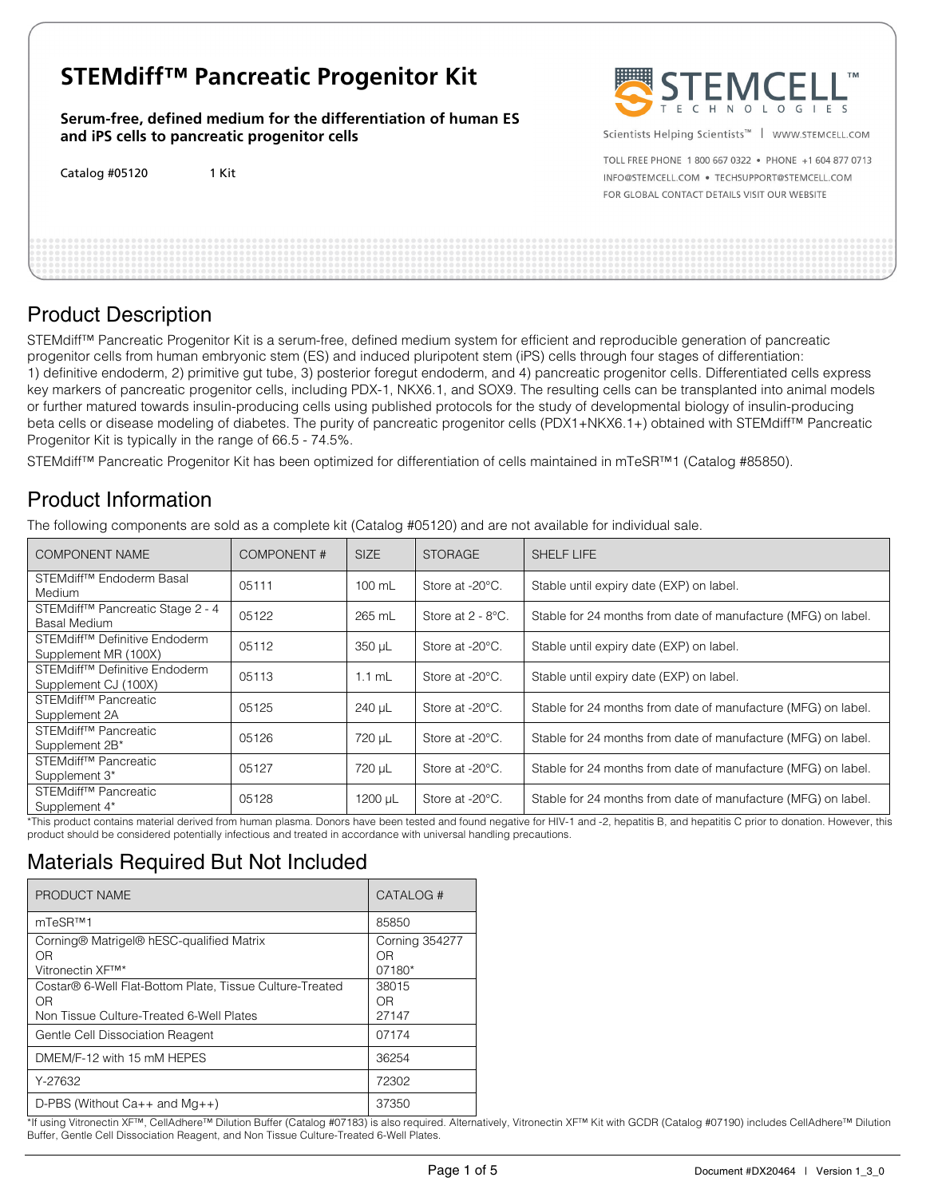# **STEMdiff™ Pancreatic Progenitor Kit**

**Serum-free, defined medium for the differentiation of human ES and iPS cells to pancreatic progenitor cells** 

Catalog #05120 1 Kit



Scientists Helping Scientists<sup>™</sup> | WWW.STEMCELL.COM

TOLL FREE PHONE 1 800 667 0322 . PHONE +1 604 877 0713 INFO@STEMCELL.COM . TECHSUPPORT@STEMCELL.COM FOR GLOBAL CONTACT DETAILS VISIT OUR WEBSITE

# Product Description

STEMdiff™ Pancreatic Progenitor Kit is a serum-free, defined medium system for efficient and reproducible generation of pancreatic progenitor cells from human embryonic stem (ES) and induced pluripotent stem (iPS) cells through four stages of differentiation: 1) definitive endoderm, 2) primitive gut tube, 3) posterior foregut endoderm, and 4) pancreatic progenitor cells. Differentiated cells express key markers of pancreatic progenitor cells, including PDX-1, NKX6.1, and SOX9. The resulting cells can be transplanted into animal models or further matured towards insulin-producing cells using published protocols for the study of developmental biology of insulin-producing beta cells or disease modeling of diabetes. The purity of pancreatic progenitor cells (PDX1+NKX6.1+) obtained with STEMdiff™ Pancreatic Progenitor Kit is typically in the range of 66.5 - 74.5%.

STEMdiff™ Pancreatic Progenitor Kit has been optimized for differentiation of cells maintained in mTeSR™1 (Catalog #85850).

# Product Information

The following components are sold as a complete kit (Catalog #05120) and are not available for individual sale.

| COMPONENT NAME                                                    | COMPONENT# | <b>SIZE</b>      | <b>STORAGE</b>            | <b>SHELF LIFE</b>                                             |
|-------------------------------------------------------------------|------------|------------------|---------------------------|---------------------------------------------------------------|
| STEMdiff <sup>™</sup> Endoderm Basal<br><b>Medium</b>             | 05111      | $100 \text{ mL}$ | Store at -20°C.           | Stable until expiry date (EXP) on label.                      |
| STEMdiff™ Pancreatic Stage 2 - 4<br>Basal Medium                  | 05122      | 265 mL           | Store at $2 - 8$ °C.      | Stable for 24 months from date of manufacture (MFG) on label. |
| STEMdiff™ Definitive Endoderm<br>Supplement MR (100X)             | 05112      | 350 µL           | Store at -20°C.           | Stable until expiry date (EXP) on label.                      |
| STEMdiff <sup>™</sup> Definitive Endoderm<br>Supplement CJ (100X) | 05113      | $1.1$ mL         | Store at $-20^{\circ}$ C. | Stable until expiry date (EXP) on label.                      |
| STEMdiff <sup>™</sup> Pancreatic<br>Supplement 2A                 | 05125      | 240 µL           | Store at -20°C.           | Stable for 24 months from date of manufacture (MFG) on label. |
| STEMdiff <sup>™</sup> Pancreatic<br>Supplement 2B*                | 05126      | 720 µL           | Store at -20°C.           | Stable for 24 months from date of manufacture (MFG) on label. |
| STEMdiff <sup>™</sup> Pancreatic<br>Supplement 3*                 | 05127      | 720 µL           | Store at -20°C.           | Stable for 24 months from date of manufacture (MFG) on label. |
| STEMdiff <sup>™</sup> Pancreatic<br>Supplement 4*                 | 05128      | 1200 µL          | Store at -20°C.           | Stable for 24 months from date of manufacture (MFG) on label. |

\*This product contains material derived from human plasma. Donors have been tested and found negative for HIV-1 and -2, hepatitis B, and hepatitis C prior to donation. However, this product should be considered potentially infectious and treated in accordance with universal handling precautions.

# Materials Required But Not Included

| PRODUCT NAME                                                                                                           | CATALOG#                              |
|------------------------------------------------------------------------------------------------------------------------|---------------------------------------|
| mTeSR™1                                                                                                                | 85850                                 |
| Corning® Matrigel® hESC-qualified Matrix<br>ΟR<br>Vitronectin XF™*                                                     | <b>Corning 354277</b><br>ΩR<br>07180* |
| Costar® 6-Well Flat-Bottom Plate, Tissue Culture-Treated<br>0 <sub>R</sub><br>Non Tissue Culture-Treated 6-Well Plates | 38015<br>0 <sub>R</sub><br>27147      |
| Gentle Cell Dissociation Reagent                                                                                       | 07174                                 |
| DMEM/F-12 with 15 mM HEPES                                                                                             | 36254                                 |
| Y-27632                                                                                                                | 72302                                 |
| D-PBS (Without $Ca++$ and $Mq++$ )                                                                                     | 37350                                 |

\*If using Vitronectin XF™, CellAdhere™ Dilution Buffer (Catalog #07183) is also required. Alternatively, Vitronectin XF™ Kit with GCDR (Catalog #07190) includes CellAdhere™ Dilution Buffer, Gentle Cell Dissociation Reagent, and Non Tissue Culture-Treated 6-Well Plates.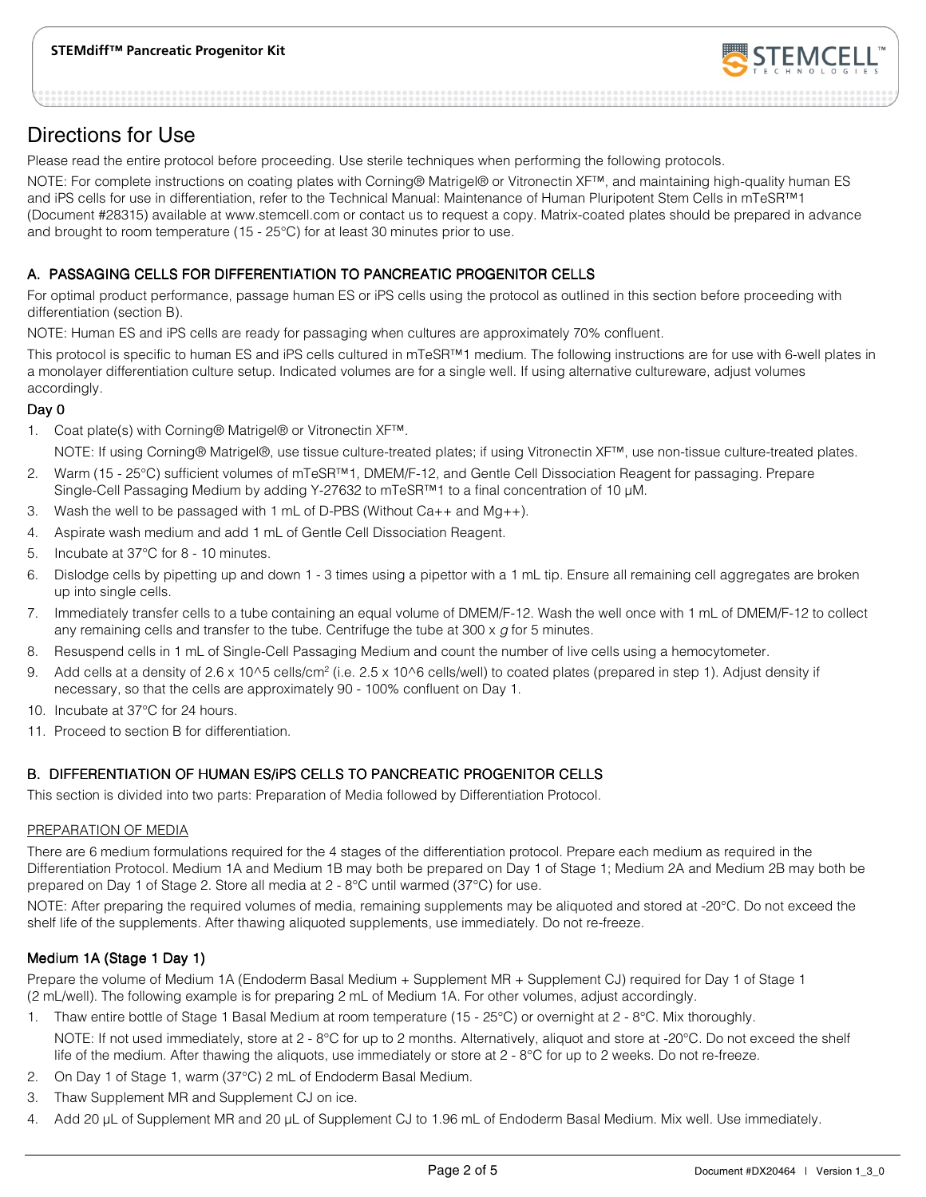

## Directions for Use

Please read the entire protocol before proceeding. Use sterile techniques when performing the following protocols.

NOTE: For complete instructions on coating plates with Corning® Matrigel® or Vitronectin XF™, and maintaining high-quality human ES and iPS cells for use in differentiation, refer to the Technical Manual: Maintenance of Human Pluripotent Stem Cells in mTeSR™1 (Document #28315) available at www.stemcell.com or contact us to request a copy. Matrix-coated plates should be prepared in advance and brought to room temperature (15 - 25°C) for at least 30 minutes prior to use.

## A. PASSAGING CELLS FOR DIFFERENTIATION TO PANCREATIC PROGENITOR CELLS

For optimal product performance, passage human ES or iPS cells using the protocol as outlined in this section before proceeding with differentiation (section B).

NOTE: Human ES and iPS cells are ready for passaging when cultures are approximately 70% confluent.

This protocol is specific to human ES and iPS cells cultured in mTeSR™1 medium. The following instructions are for use with 6-well plates in a monolayer differentiation culture setup. Indicated volumes are for a single well. If using alternative cultureware, adjust volumes accordingly.

### Day 0

1. Coat plate(s) with Corning® Matrigel® or Vitronectin XF™.

NOTE: If using Corning® Matrigel®, use tissue culture-treated plates; if using Vitronectin XF™, use non-tissue culture-treated plates.

- 2. Warm (15 25°C) sufficient volumes of mTeSR™1, DMEM/F-12, and Gentle Cell Dissociation Reagent for passaging. Prepare Single-Cell Passaging Medium by adding Y-27632 to mTeSR™1 to a final concentration of 10 µM.
- 3. Wash the well to be passaged with 1 mL of D-PBS (Without  $Ca_{+}$ + and  $Mg_{+}$ ).
- 4. Aspirate wash medium and add 1 mL of Gentle Cell Dissociation Reagent.
- 5. Incubate at 37°C for 8 10 minutes.
- 6. Dislodge cells by pipetting up and down 1 3 times using a pipettor with a 1 mL tip. Ensure all remaining cell aggregates are broken up into single cells.
- 7. Immediately transfer cells to a tube containing an equal volume of DMEM/F-12. Wash the well once with 1 mL of DMEM/F-12 to collect any remaining cells and transfer to the tube. Centrifuge the tube at  $300 \times g$  for 5 minutes.
- 8. Resuspend cells in 1 mL of Single-Cell Passaging Medium and count the number of live cells using a hemocytometer.
- 9. Add cells at a density of 2.6 x 10^5 cells/cm<sup>2</sup> (i.e. 2.5 x 10^6 cells/well) to coated plates (prepared in step 1). Adjust density if necessary, so that the cells are approximately 90 - 100% confluent on Day 1.
- 10. Incubate at 37°C for 24 hours.
- 11. Proceed to section B for differentiation.

## B. DIFFERENTIATION OF HUMAN ES/IPS CELLS TO PANCREATIC PROGENITOR CELLS

This section is divided into two parts: Preparation of Media followed by Differentiation Protocol.

#### PREPARATION OF MEDIA

There are 6 medium formulations required for the 4 stages of the differentiation protocol. Prepare each medium as required in the Differentiation Protocol. Medium 1A and Medium 1B may both be prepared on Day 1 of Stage 1; Medium 2A and Medium 2B may both be prepared on Day 1 of Stage 2. Store all media at 2 - 8°C until warmed (37°C) for use.

NOTE: After preparing the required volumes of media, remaining supplements may be aliquoted and stored at -20°C. Do not exceed the shelf life of the supplements. After thawing aliquoted supplements, use immediately. Do not re-freeze.

## Medium 1A (Stage 1 Day 1)

Prepare the volume of Medium 1A (Endoderm Basal Medium + Supplement MR + Supplement CJ) required for Day 1 of Stage 1 (2 mL/well). The following example is for preparing 2 mL of Medium 1A. For other volumes, adjust accordingly.

- 1. Thaw entire bottle of Stage 1 Basal Medium at room temperature (15 25°C) or overnight at 2 8°C. Mix thoroughly. NOTE: If not used immediately, store at 2 - 8°C for up to 2 months. Alternatively, aliquot and store at -20°C. Do not exceed the shelf life of the medium. After thawing the aliquots, use immediately or store at 2 - 8°C for up to 2 weeks. Do not re-freeze.
- 2. On Day 1 of Stage 1, warm (37°C) 2 mL of Endoderm Basal Medium.
- 3. Thaw Supplement MR and Supplement CJ on ice.
- 4. Add 20 µL of Supplement MR and 20 µL of Supplement CJ to 1.96 mL of Endoderm Basal Medium. Mix well. Use immediately.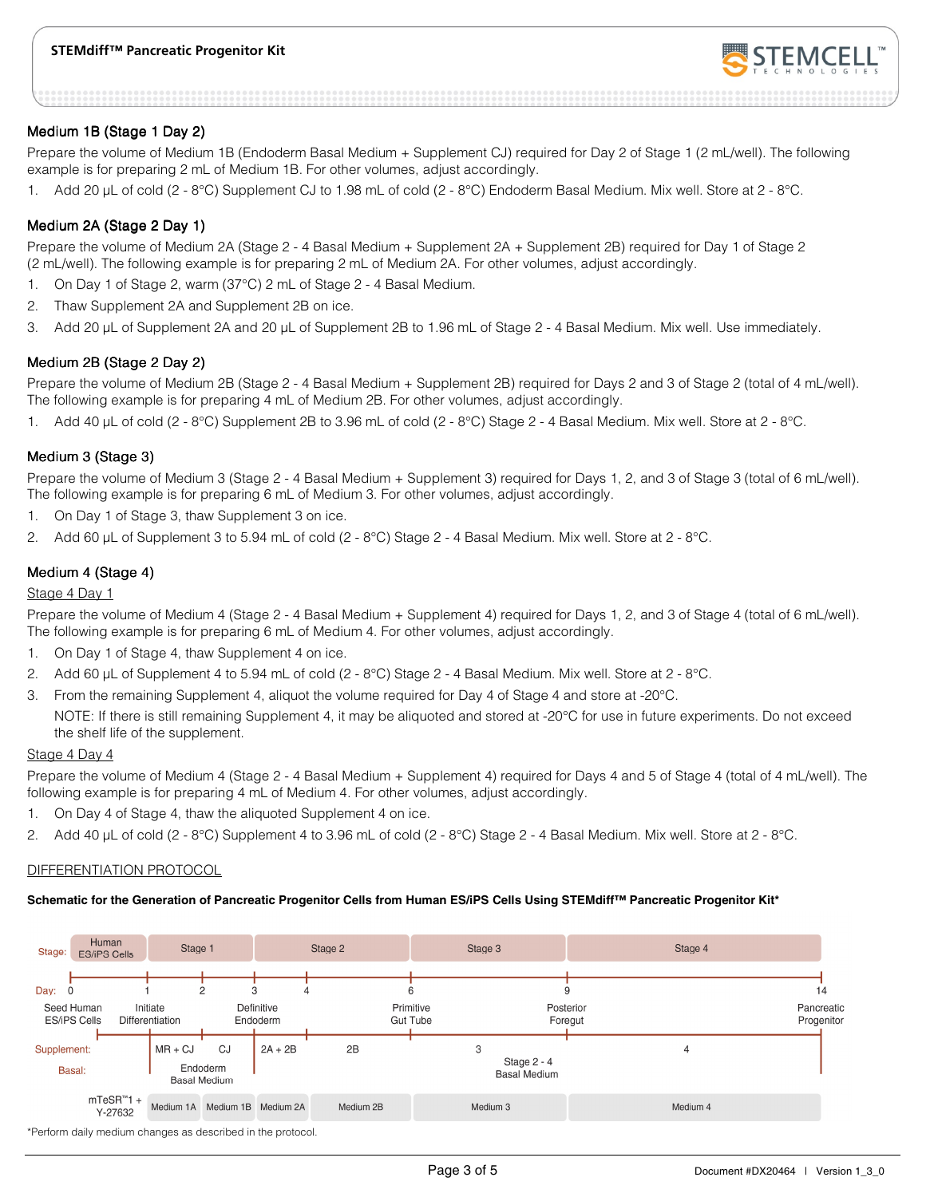

#### Medium 1B (Stage 1 Day 2)

Prepare the volume of Medium 1B (Endoderm Basal Medium + Supplement CJ) required for Day 2 of Stage 1 (2 mL/well). The following example is for preparing 2 mL of Medium 1B. For other volumes, adjust accordingly.

1. Add 20 µL of cold (2 - 8°C) Supplement CJ to 1.98 mL of cold (2 - 8°C) Endoderm Basal Medium. Mix well. Store at 2 - 8°C.

#### Medium 2A (Stage 2 Day 1)

Prepare the volume of Medium 2A (Stage 2 - 4 Basal Medium + Supplement 2A + Supplement 2B) required for Day 1 of Stage 2 (2 mL/well). The following example is for preparing 2 mL of Medium 2A. For other volumes, adjust accordingly.

- 1. On Day 1 of Stage 2, warm (37°C) 2 mL of Stage 2 4 Basal Medium.
- 2. Thaw Supplement 2A and Supplement 2B on ice.
- 3. Add 20 µL of Supplement 2A and 20 µL of Supplement 2B to 1.96 mL of Stage 2 4 Basal Medium. Mix well. Use immediately.

#### Medium 2B (Stage 2 Day 2)

Prepare the volume of Medium 2B (Stage 2 - 4 Basal Medium + Supplement 2B) required for Days 2 and 3 of Stage 2 (total of 4 mL/well). The following example is for preparing 4 mL of Medium 2B. For other volumes, adjust accordingly.

1. Add 40 µL of cold (2 - 8°C) Supplement 2B to 3.96 mL of cold (2 - 8°C) Stage 2 - 4 Basal Medium. Mix well. Store at 2 - 8°C.

#### Medium 3 (Stage 3)

Prepare the volume of Medium 3 (Stage 2 - 4 Basal Medium + Supplement 3) required for Days 1, 2, and 3 of Stage 3 (total of 6 mL/well). The following example is for preparing 6 mL of Medium 3. For other volumes, adjust accordingly.

- 1. On Day 1 of Stage 3, thaw Supplement 3 on ice.
- 2. Add 60 µL of Supplement 3 to 5.94 mL of cold (2 8°C) Stage 2 4 Basal Medium. Mix well. Store at 2 8°C.

#### Medium 4 (Stage 4)

#### Stage 4 Day 1

Prepare the volume of Medium 4 (Stage 2 - 4 Basal Medium + Supplement 4) required for Days 1, 2, and 3 of Stage 4 (total of 6 mL/well). The following example is for preparing 6 mL of Medium 4. For other volumes, adjust accordingly.

- 1. On Day 1 of Stage 4, thaw Supplement 4 on ice.
- 2. Add 60 µL of Supplement 4 to 5.94 mL of cold (2 8°C) Stage 2 4 Basal Medium. Mix well. Store at 2 8°C.
- 3. From the remaining Supplement 4, aliquot the volume required for Day 4 of Stage 4 and store at -20°C.

NOTE: If there is still remaining Supplement 4, it may be aliquoted and stored at -20°C for use in future experiments. Do not exceed the shelf life of the supplement.

#### Stage 4 Day 4

Prepare the volume of Medium 4 (Stage 2 - 4 Basal Medium + Supplement 4) required for Days 4 and 5 of Stage 4 (total of 4 mL/well). The following example is for preparing 4 mL of Medium 4. For other volumes, adjust accordingly.

- 1. On Day 4 of Stage 4, thaw the aliquoted Supplement 4 on ice.
- 2. Add 40 µL of cold (2 8°C) Supplement 4 to 3.96 mL of cold (2 8°C) Stage 2 4 Basal Medium. Mix well. Store at 2 8°C.

#### DIFFERENTIATION PROTOCOL

#### **Schematic for the Generation of Pancreatic Progenitor Cells from Human ES/iPS Cells Using STEMdiff™ Pancreatic Progenitor Kit\***

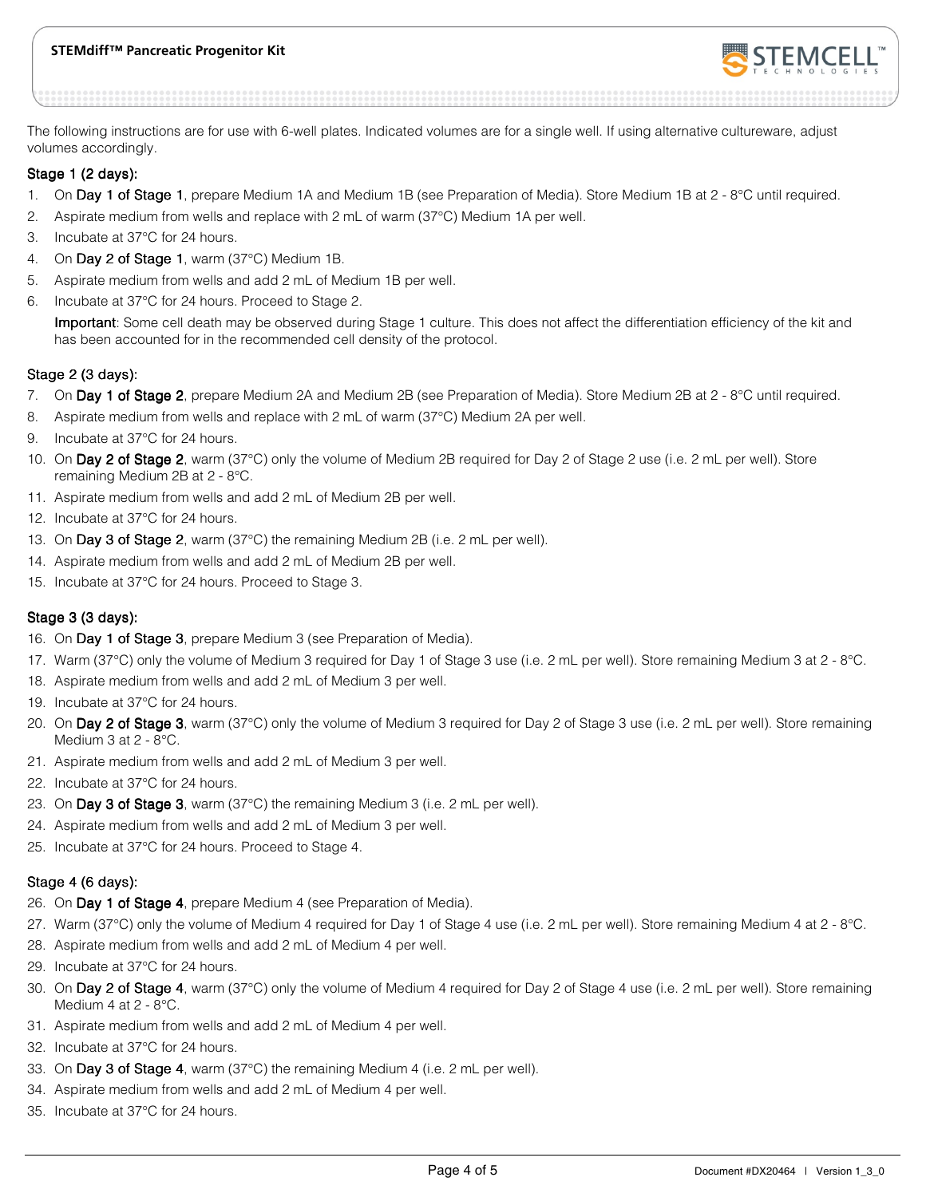### **STEMdiff™ Pancreatic Progenitor Kit**



The following instructions are for use with 6-well plates. Indicated volumes are for a single well. If using alternative cultureware, adjust volumes accordingly.

#### Stage 1 (2 days):

- 1. On Day 1 of Stage 1, prepare Medium 1A and Medium 1B (see Preparation of Media). Store Medium 1B at  $2 \cdot 8^{\circ}$ C until required.
- 2. Aspirate medium from wells and replace with 2 mL of warm (37°C) Medium 1A per well.
- 3. Incubate at 37°C for 24 hours.
- 4. On Day 2 of Stage 1, warm (37 $^{\circ}$ C) Medium 1B.
- 5. Aspirate medium from wells and add 2 mL of Medium 1B per well.
- 6. Incubate at 37°C for 24 hours. Proceed to Stage 2.

Important: Some cell death may be observed during Stage 1 culture. This does not affect the differentiation efficiency of the kit and has been accounted for in the recommended cell density of the protocol.

#### Stage 2 (3 days):

- 7. On Day 1 of Stage 2, prepare Medium 2A and Medium 2B (see Preparation of Media). Store Medium 2B at 2 8°C until required.
- 8. Aspirate medium from wells and replace with 2 mL of warm (37°C) Medium 2A per well.
- 9. Incubate at 37°C for 24 hours.
- 10. On Day 2 of Stage 2, warm (37°C) only the volume of Medium 2B required for Day 2 of Stage 2 use (i.e. 2 mL per well). Store remaining Medium 2B at 2 - 8°C.
- 11. Aspirate medium from wells and add 2 mL of Medium 2B per well.
- 12. Incubate at 37°C for 24 hours.
- 13. On Day 3 of Stage 2, warm (37 $^{\circ}$ C) the remaining Medium 2B (i.e. 2 mL per well).
- 14. Aspirate medium from wells and add 2 mL of Medium 2B per well.
- 15. Incubate at 37°C for 24 hours. Proceed to Stage 3.

#### Stage  $3$  (3 days):

- 16. On Day 1 of Stage 3, prepare Medium 3 (see Preparation of Media).
- 17. Warm (37°C) only the volume of Medium 3 required for Day 1 of Stage 3 use (i.e. 2 mL per well). Store remaining Medium 3 at 2 8°C.
- 18. Aspirate medium from wells and add 2 mL of Medium 3 per well.
- 19. Incubate at 37°C for 24 hours.
- 20. On Day 2 of Stage 3, warm (37°C) only the volume of Medium 3 required for Day 2 of Stage 3 use (i.e. 2 mL per well). Store remaining Medium 3 at 2 - 8°C.
- 21. Aspirate medium from wells and add 2 mL of Medium 3 per well.
- 22. Incubate at 37°C for 24 hours.
- 23. On Day 3 of Stage 3, warm (37°C) the remaining Medium 3 (i.e. 2 mL per well).
- 24. Aspirate medium from wells and add 2 mL of Medium 3 per well.
- 25. Incubate at 37°C for 24 hours. Proceed to Stage 4.

#### Stage 4  $(6$  days):

- 26. On Day 1 of Stage 4, prepare Medium 4 (see Preparation of Media).
- 27. Warm (37°C) only the volume of Medium 4 required for Day 1 of Stage 4 use (i.e. 2 mL per well). Store remaining Medium 4 at 2 8°C.
- 28. Aspirate medium from wells and add 2 mL of Medium 4 per well.
- 29. Incubate at 37°C for 24 hours.
- 30. On Day 2 of Stage 4, warm (37°C) only the volume of Medium 4 required for Day 2 of Stage 4 use (i.e. 2 mL per well). Store remaining Medium 4 at 2 - 8°C.
- 31. Aspirate medium from wells and add 2 mL of Medium 4 per well.
- 32. Incubate at 37°C for 24 hours.
- 33. On Day 3 of Stage 4, warm (37 $^{\circ}$ C) the remaining Medium 4 (i.e. 2 mL per well).
- 34. Aspirate medium from wells and add 2 mL of Medium 4 per well.
- 35. Incubate at 37°C for 24 hours.